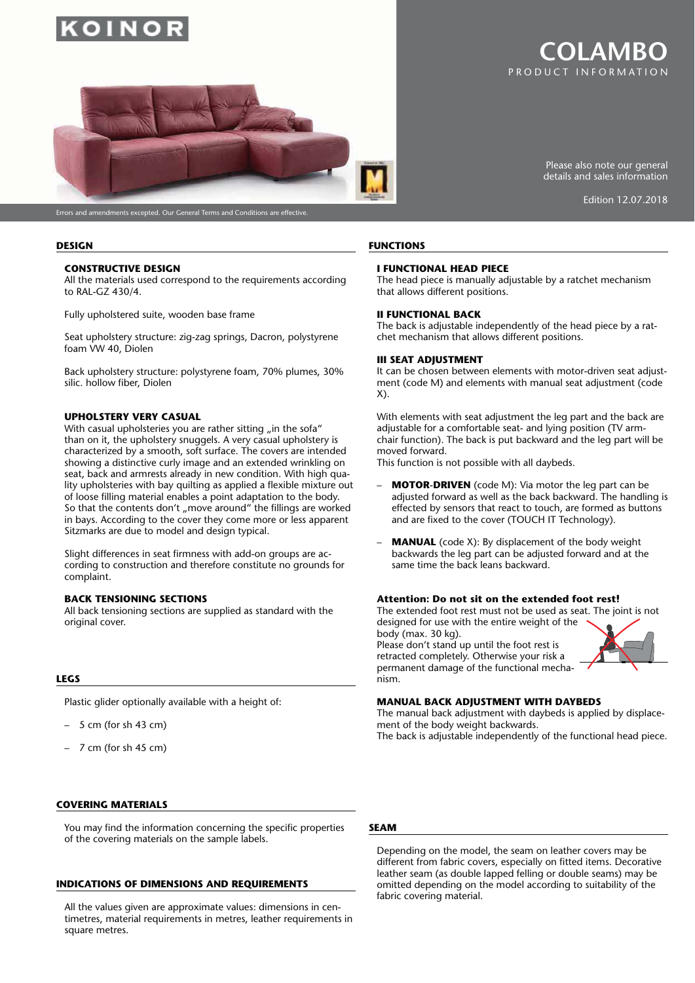

# PRODUCT INFORMATION **COLAMBO**

Edition 12.07.2018

Please also note our general details and sales information



Errors and amendments excepted. Our General Terms and Conditions are effective.

#### **DESIGN**

#### **CONSTRUCTIVE DESIGN**

All the materials used correspond to the requirements according to RAL-GZ 430/4.

Fully upholstered suite, wooden base frame

Seat upholstery structure: zig-zag springs, Dacron, polystyrene foam VW 40, Diolen

Back upholstery structure: polystyrene foam, 70% plumes, 30% silic. hollow fiber, Diolen

## **UPHOLSTERY VERY CASUAL**

With casual upholsteries you are rather sitting "in the sofa" than on it, the upholstery snuggels. A very casual upholstery is characterized by a smooth, soft surface. The covers are intended showing a distinctive curly image and an extended wrinkling on seat, back and armrests already in new condition. With high quality upholsteries with bay quilting as applied a flexible mixture out of loose filling material enables a point adaptation to the body. So that the contents don't "move around" the fillings are worked in bays. According to the cover they come more or less apparent Sitzmarks are due to model and design typical.

Slight differences in seat firmness with add-on groups are according to construction and therefore constitute no grounds for complaint.

#### **BACK TENSIONING SECTIONS**

All back tensioning sections are supplied as standard with the original cover.

#### **LEGS**

Plastic glider optionally available with a height of:

- $-5$  cm (for sh 43 cm)
- 7 cm (for sh 45 cm)

#### **COVERING MATERIALS**

You may find the information concerning the specific properties of the covering materials on the sample labels.

#### **INDICATIONS OF DIMENSIONS AND REQUIREMENTS**

All the values given are approximate values: dimensions in centimetres, material requirements in metres, leather requirements in square metres.

## **FUNCTIONS**

#### **I FUNCTIONAL HEAD PIECE**

The head piece is manually adjustable by a ratchet mechanism that allows different positions.

#### **II FUNCTIONAL BACK**

The back is adjustable independently of the head piece by a ratchet mechanism that allows different positions.

#### **III SEAT ADJUSTMENT**

It can be chosen between elements with motor-driven seat adjustment (code M) and elements with manual seat adjustment (code X).

With elements with seat adjustment the leg part and the back are adjustable for a comfortable seat- and lying position (TV armchair function). The back is put backward and the leg part will be moved forward.

This function is not possible with all daybeds.

- **MOTOR-DRIVEN** (code M): Via motor the leg part can be adjusted forward as well as the back backward. The handling is effected by sensors that react to touch, are formed as buttons and are fixed to the cover (TOUCH IT Technology).
- **MANUAL** (code X): By displacement of the body weight backwards the leg part can be adjusted forward and at the same time the back leans backward.

#### **Attention: Do not sit on the extended foot rest!**

The extended foot rest must not be used as seat. The joint is not designed for use with the entire weight of the

body (max. 30 kg). Please don't stand up until the foot rest is retracted completely. Otherwise your risk a permanent damage of the functional mechanism.



#### **MANUAL BACK ADJUSTMENT WITH DAYBEDS**

The manual back adjustment with daybeds is applied by displacement of the body weight backwards.

The back is adjustable independently of the functional head piece.

#### **SEAM**

Depending on the model, the seam on leather covers may be different from fabric covers, especially on fitted items. Decorative leather seam (as double lapped felling or double seams) may be omitted depending on the model according to suitability of the fabric covering material.